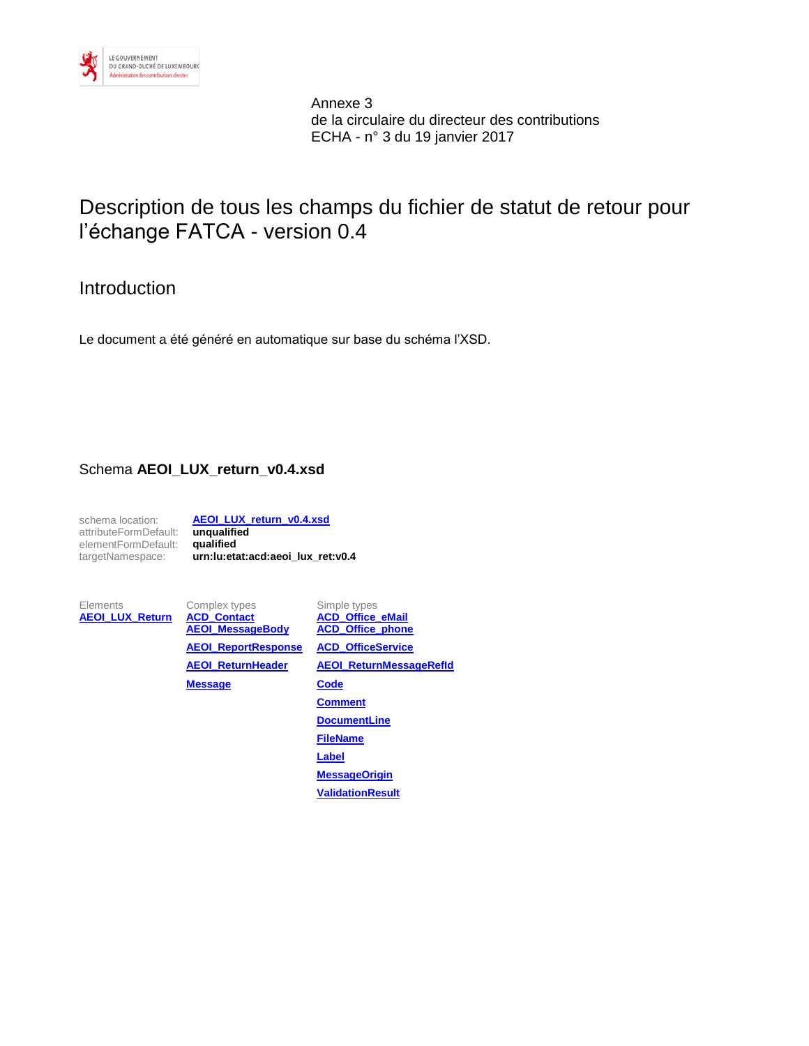

Annexe 3 de la circulaire du directeur des contributions ECHA - n° 3 du 19 janvier 2017

# Description de tous les champs du fichier de statut de retour pour l'échange FATCA - version 0.4

# Introduction

Le document a été généré en automatique sur base du schéma l'XSD.

### Schema **AEOI\_LUX\_return\_v0.4.xsd**

schema location: **[AEOI\\_LUX\\_return\\_v0.4.xsd](file://///CO-FILE/home$/cojnni1/Documents/Facta/LU-Co/XML-Tests/V0.4_retour_v01/AEOI_LUX_return_v0.4.xsd)** attributeFormDefault: **unqualified** elementFormDefault: **qualified** targetNamespace: **urn:lu:etat:acd:aeoi\_lux\_ret:v0.4**

Elements Complex types Simple types<br> **AEOI LUX Return ACD Contact ACD Office eMail [AEOI\\_LUX\\_Return](#page-1-0) [ACD\\_Contact](#page-2-0) [ACD\\_Office\\_eMail](#page-8-0)**<br>AEOI\_MessageBody ACD\_Office\_phone **[AEOI\\_MessageBody](#page-3-0) [AEOI\\_ReportResponse](#page-4-0) [ACD\\_OfficeService](#page-8-2) [AEOI\\_ReturnHeader](#page-5-0) [AEOI\\_ReturnMessageRefId](#page-9-0) [Message](#page-6-0) [Code](#page-9-1) [Comment](#page-9-2) [DocumentLine](#page-9-3) [FileName](#page-10-0) [Label](#page-10-1) [MessageOrigin](#page-10-2) [ValidationResult](#page-10-3)**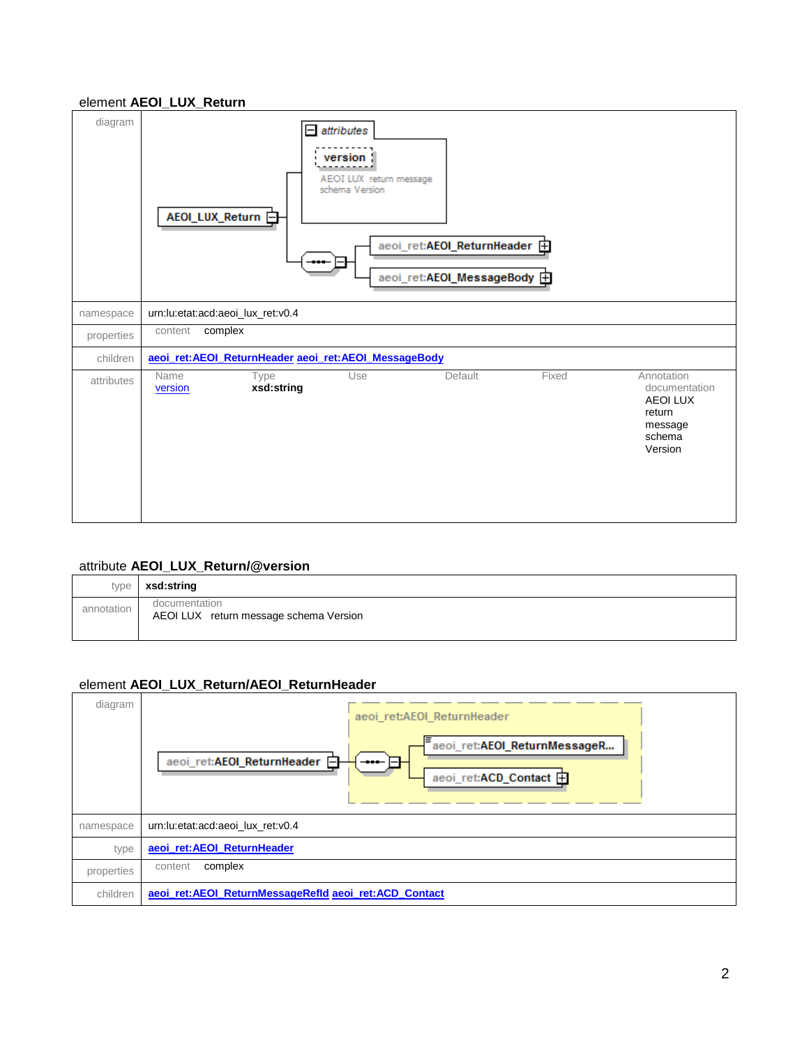### <span id="page-1-0"></span>element **AEOI\_LUX\_Return**

| diagram    | $=$ attributes<br>version<br>AEOI LUX return message<br>schema Version<br>AEOI_LUX_Return 白<br>aeoi_ret:AEOI_ReturnHeader 由<br>aeoi_ret:AEOI_MessageBody 由   |  |  |  |  |  |
|------------|--------------------------------------------------------------------------------------------------------------------------------------------------------------|--|--|--|--|--|
| namespace  | urn:lu:etat:acd:aeoi_lux_ret:v0.4                                                                                                                            |  |  |  |  |  |
| properties | complex<br>content                                                                                                                                           |  |  |  |  |  |
| children   | aeoi_ret:AEOI_ReturnHeader aeoi_ret:AEOI_MessageBody                                                                                                         |  |  |  |  |  |
| attributes | Fixed<br>Annotation<br>Use<br>Default<br>Name<br>Type<br>xsd:string<br>documentation<br>version<br><b>AEOI LUX</b><br>return<br>message<br>schema<br>Version |  |  |  |  |  |

#### <span id="page-1-2"></span>attribute **AEOI\_LUX\_Return/@version**

| type       | xsd:string                                              |
|------------|---------------------------------------------------------|
| annotation | documentation<br>AEOI LUX return message schema Version |

### <span id="page-1-1"></span>element **AEOI\_LUX\_Return/AEOI\_ReturnHeader**

| diagram    | aeoi_ret:AEOI_ReturnHeader<br>aeoi_ret:AEOI_ReturnMessageR<br>aeoi_ret:AEOI_ReturnHeader E<br>----<br>$-1$<br>aeoi_ret:ACD_Contact <b>F</b> |
|------------|---------------------------------------------------------------------------------------------------------------------------------------------|
| namespace  | urn:lu:etat:acd:aeoi lux ret:v0.4                                                                                                           |
| type       | aeoi_ret:AEOI_ReturnHeader                                                                                                                  |
| properties | complex<br>content                                                                                                                          |
| children   | aeoi_ret:AEOI_ReturnMessageRefId aeoi_ret:ACD_Contact                                                                                       |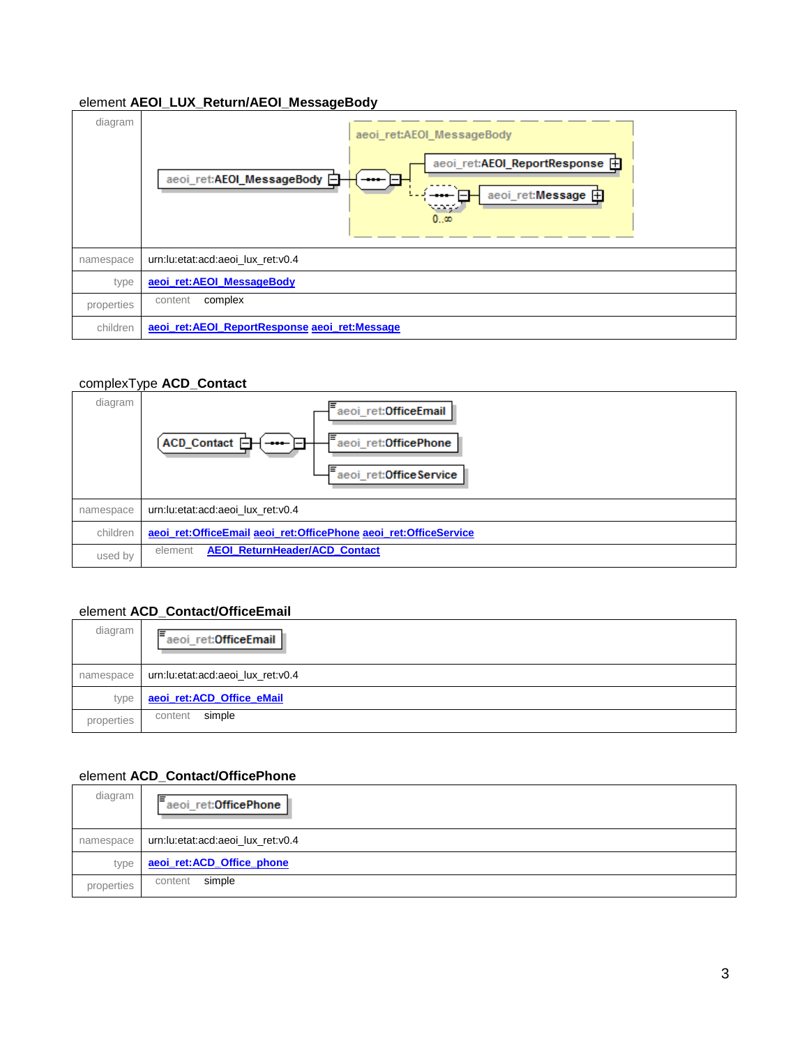### <span id="page-2-1"></span>element **AEOI\_LUX\_Return/AEOI\_MessageBody**

| diagram    | aeoi_ret:AEOI_MessageBody<br>aeoi_ret:AEOI_ReportResponse <b>H</b><br>aeoi_ret:AEOI_MessageBody <b>□</b><br>---- 1-1<br>aeoi_ret:Message <b>H</b><br>$\bullet$<br>000 |
|------------|-----------------------------------------------------------------------------------------------------------------------------------------------------------------------|
| namespace  | urn:lu:etat:acd:aeoi lux ret:v0.4                                                                                                                                     |
| type       | aeoi_ret:AEOI_MessageBody                                                                                                                                             |
| properties | complex<br>content                                                                                                                                                    |
| children   | aeoi ret: AEOI ReportResponse aeoi ret: Message                                                                                                                       |

#### <span id="page-2-0"></span>complexType **ACD\_Contact**



#### <span id="page-2-2"></span>element **ACD\_Contact/OfficeEmail**

| diagram    | lΞ<br>aeoi_ret:OfficeEmail        |  |  |  |
|------------|-----------------------------------|--|--|--|
| namespace  | urn:lu:etat:acd:aeoi lux ret:v0.4 |  |  |  |
| type       | aeoi ret:ACD Office eMail         |  |  |  |
| properties | simple<br>content                 |  |  |  |

#### <span id="page-2-3"></span>element **ACD\_Contact/OfficePhone**

| diagram    | ⋿<br>aeoi_ret:OfficePhone         |  |  |  |
|------------|-----------------------------------|--|--|--|
| namespace  | urn:lu:etat:acd:aeoi_lux_ret:v0.4 |  |  |  |
| type       | aeoi_ret:ACD_Office_phone         |  |  |  |
| properties | simple<br>content                 |  |  |  |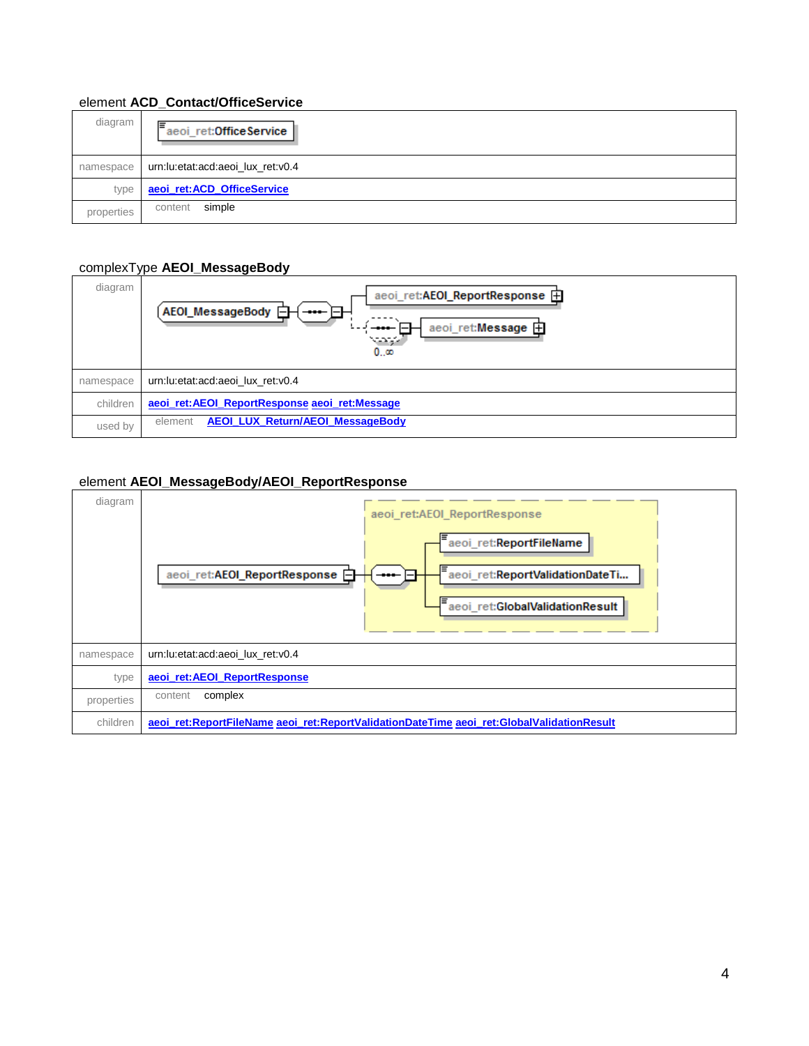### <span id="page-3-2"></span>element **ACD\_Contact/OfficeService**

| diagram    | ⋿<br>aeoi_ret:OfficeService       |  |  |  |
|------------|-----------------------------------|--|--|--|
| namespace  | urn:lu:etat:acd:aeoi lux ret:v0.4 |  |  |  |
| type       | aeoi_ret:ACD_OfficeService        |  |  |  |
| properties | simple<br>content                 |  |  |  |

#### <span id="page-3-0"></span>complexType **AEOI\_MessageBody**

| diagram   | aeoi_ret:AEOI_ReportResponse 田<br>AEOI_MessageBody <b>□</b><br>╼╍╾╞╤┯<br>aeoi_ret:Message 由<br>-<br>ww<br>$0\infty$ |
|-----------|---------------------------------------------------------------------------------------------------------------------|
| namespace | urn:lu:etat:acd:aeoi lux ret:v0.4                                                                                   |
| children  | aeoi_ret:AEOI_ReportResponse aeoi_ret:Message                                                                       |
| used by   | <b>AEOI LUX Return/AEOI MessageBody</b><br>element                                                                  |

#### <span id="page-3-1"></span>element **AEOI\_MessageBody/AEOI\_ReportResponse**

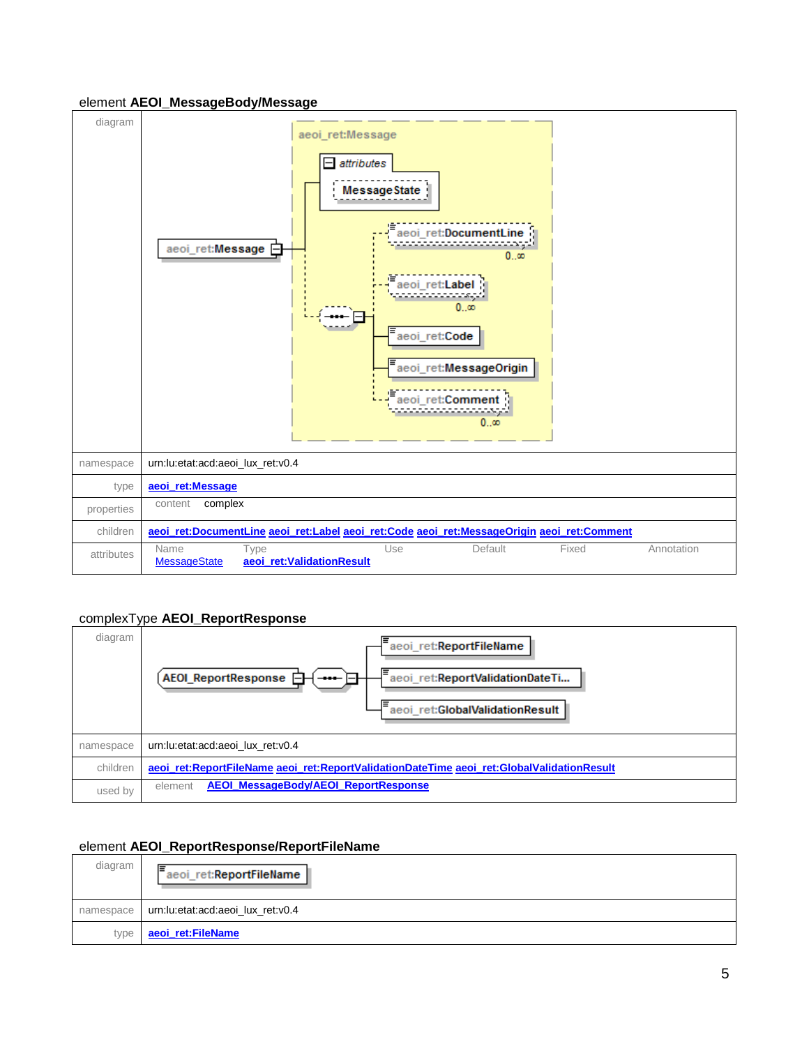#### <span id="page-4-1"></span>element **AEOI\_MessageBody/Message**



#### <span id="page-4-0"></span>complexType **AEOI\_ReportResponse**

| diagram   | aeoi_ret:ReportFileName<br>AEOI_ReportResponse <b>A</b><br>aeoi_ret:ReportValidationDateTi<br>$- \bullet \bullet \bullet -$<br>aeoi ret:GlobalValidationResult |  |
|-----------|----------------------------------------------------------------------------------------------------------------------------------------------------------------|--|
| namespace | urn:lu:etat:acd:aeoi lux ret:v0.4                                                                                                                              |  |
| children  | aeoi_ret:ReportFileName aeoi_ret:ReportValidationDateTime aeoi_ret:GlobalValidationResult                                                                      |  |
| used by   | <b>AEOI MessageBody/AEOI ReportResponse</b><br>element                                                                                                         |  |

#### <span id="page-4-2"></span>element **AEOI\_ReportResponse/ReportFileName**

| diagram | lΞ<br>aeoi_ret:ReportFileName                 |
|---------|-----------------------------------------------|
|         | namespace   urn:lu:etat:acd:aeoi_lux_ret:v0.4 |
| type    | aeoi ret:FileName                             |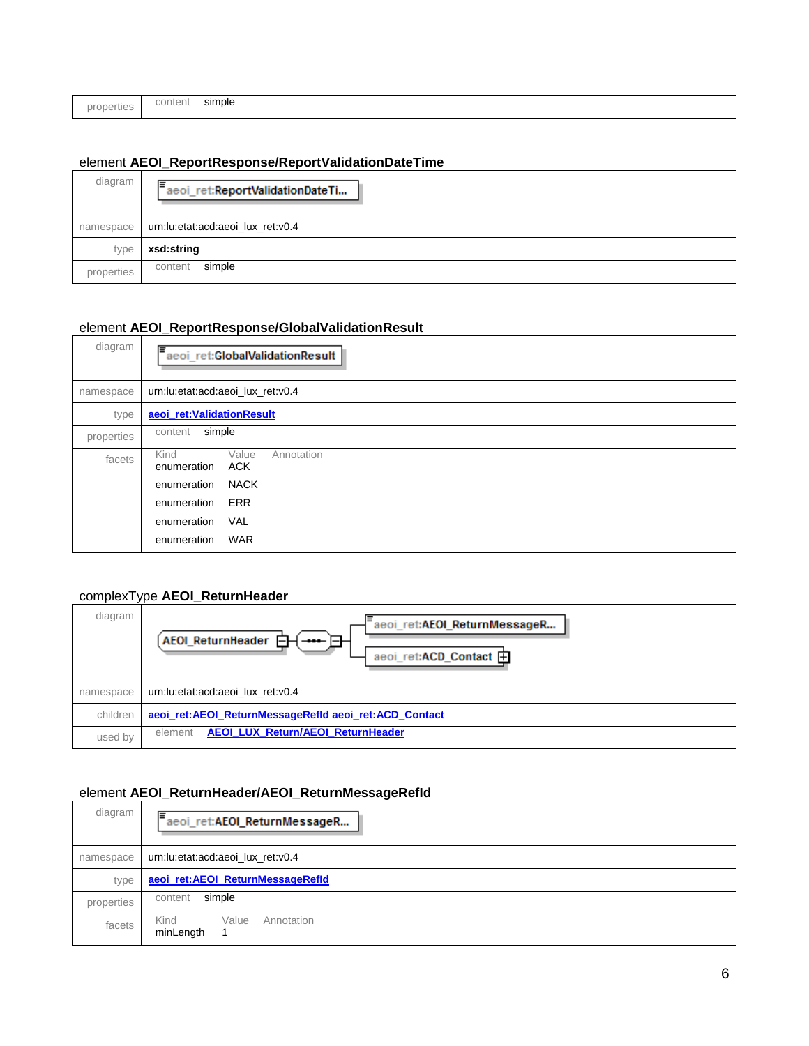|            | content | simple |
|------------|---------|--------|
| properties |         |        |
|            |         |        |

### <span id="page-5-2"></span>element **AEOI\_ReportResponse/ReportValidationDateTime**

| diagram    | aeoi_ret:ReportValidationDateTi   |  |  |  |
|------------|-----------------------------------|--|--|--|
| namespace  | urn:lu:etat:acd:aeoi_lux_ret:v0.4 |  |  |  |
| type       | xsd:string                        |  |  |  |
| properties | simple<br>content                 |  |  |  |

### <span id="page-5-3"></span>element **AEOI\_ReportResponse/GlobalValidationResult**

| diagram    | aeoi_ret:GlobalValidationResult                          |
|------------|----------------------------------------------------------|
| namespace  | urn:lu:etat:acd:aeoi_lux_ret:v0.4                        |
| type       | aeoi_ret:ValidationResult                                |
| properties | simple<br>content                                        |
| facets     | Kind<br>Value<br>Annotation<br><b>ACK</b><br>enumeration |
|            | <b>NACK</b><br>enumeration                               |
|            | <b>ERR</b><br>enumeration                                |
|            | VAL<br>enumeration                                       |
|            | <b>WAR</b><br>enumeration                                |

### <span id="page-5-0"></span>complexType **AEOI\_ReturnHeader**

| diagram   | aeoi_ret:AEOI_ReturnMessageR<br><b>AEOI ReturnHeader</b><br>aeoi_ret:ACD_Contact + |
|-----------|------------------------------------------------------------------------------------|
| namespace | urn:lu:etat:acd:aeoi lux ret:v0.4                                                  |
| children  | aeoi ret: AEOI ReturnMessageRefId aeoi ret: ACD Contact                            |
| used by   | <b>AEOI LUX Return/AEOI ReturnHeader</b><br>element                                |

### <span id="page-5-1"></span>element **AEOI\_ReturnHeader/AEOI\_ReturnMessageRefId**

| diagram    | lΞ<br>aeoi_ret:AEOI_ReturnMessageR       |
|------------|------------------------------------------|
| namespace  | urn:lu:etat:acd:aeoi lux ret:v0.4        |
| type       | aeoi_ret:AEOI_ReturnMessageRefld         |
| properties | simple<br>content                        |
| facets     | Annotation<br>Value<br>Kind<br>minLength |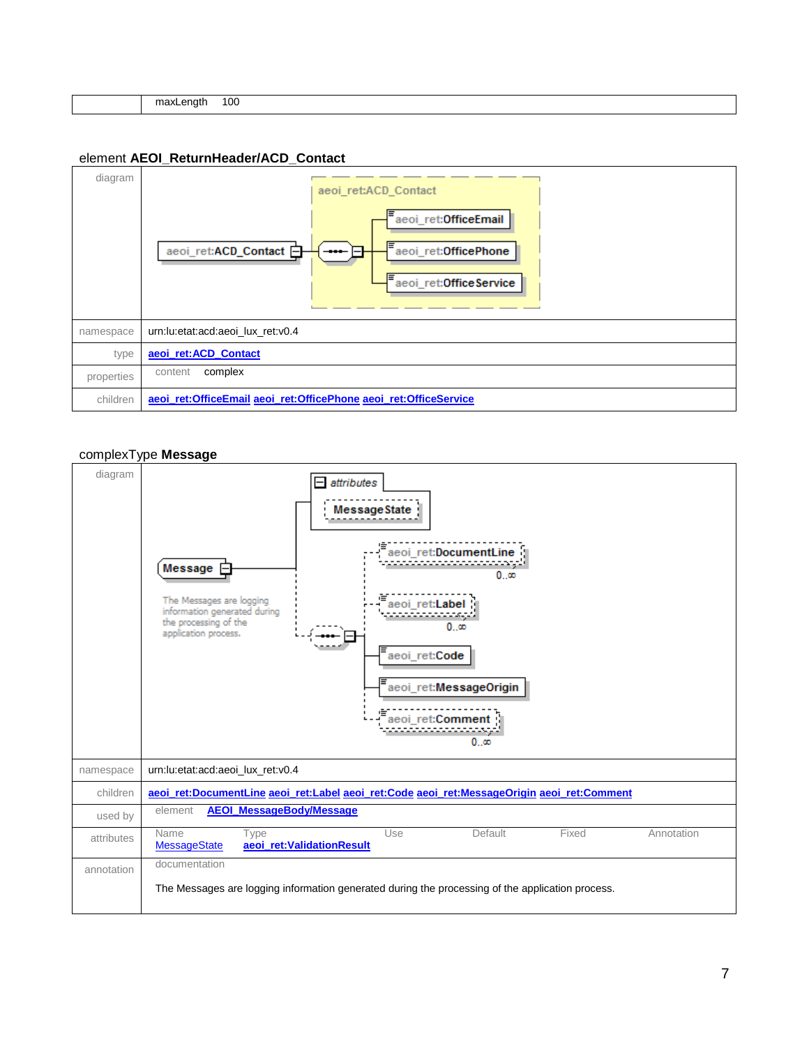| .<br>. | I UU |  |  |  |
|--------|------|--|--|--|

#### <span id="page-6-1"></span>element **AEOI\_ReturnHeader/ACD\_Contact**



#### <span id="page-6-0"></span>complexType **Message**

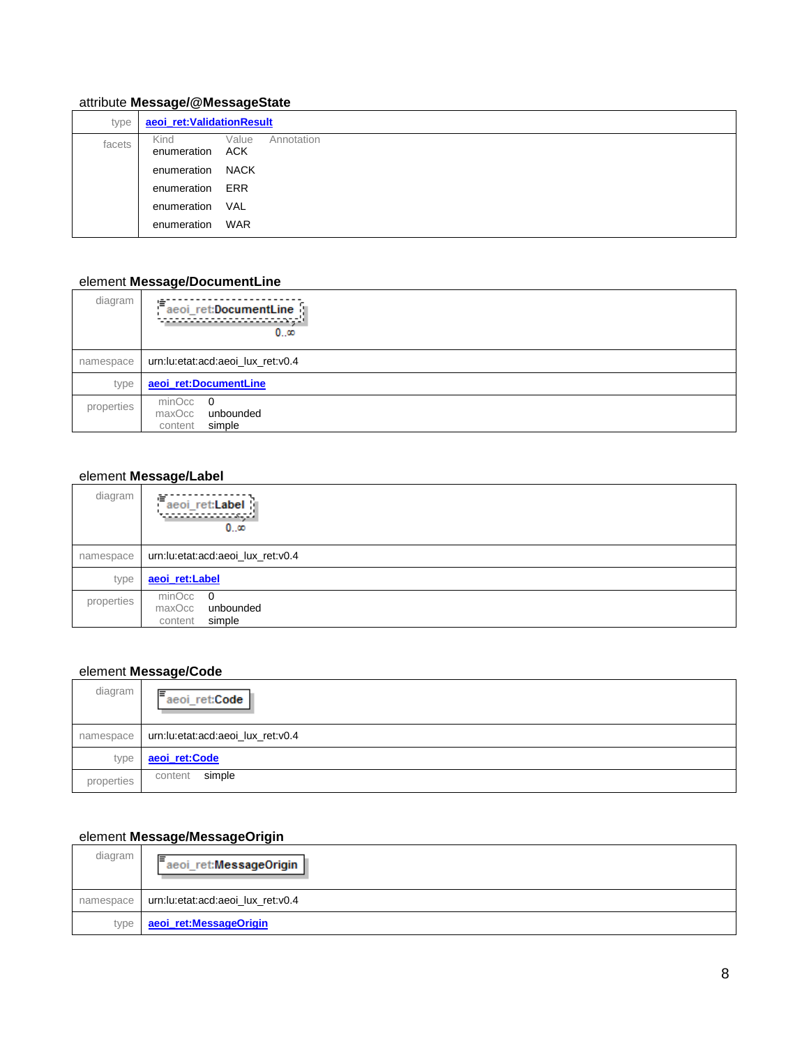### <span id="page-7-4"></span>attribute **Message/@MessageState**

| type   | aeoi_ret:ValidationResult |                            |
|--------|---------------------------|----------------------------|
| facets | Kind<br>enumeration       | Annotation<br>Value<br>ACK |
|        | enumeration               | NACK                       |
|        | enumeration               | ERR                        |
|        | enumeration               | <b>VAL</b>                 |
|        | enumeration               | WAR                        |

### <span id="page-7-0"></span>element **Message/DocumentLine**

| diagram    | aeoi_ret:DocumentLine<br>000                         |
|------------|------------------------------------------------------|
| namespace  | urn:lu:etat:acd:aeoi lux ret:v0.4                    |
| type       | aeoi_ret:DocumentLine                                |
| properties | minOcc 0<br>maxOcc<br>unbounded<br>simple<br>content |

### <span id="page-7-1"></span>element **Message/Label**

| diagram    | aeoi_ret:Label   J<br><u> TELEVISIONIS</u><br>$0\infty$ |
|------------|---------------------------------------------------------|
| namespace  | urn:lu:etat:acd:aeoi_lux_ret:v0.4                       |
| type       | aeoi_ret:Label                                          |
| properties | $minOcc$ 0<br>maxOcc<br>unbounded<br>simple<br>content  |

## <span id="page-7-2"></span>element **Message/Code**

| diagram    | lΞ<br>aeoi_ret:Code               |
|------------|-----------------------------------|
| namespace  | urn:lu:etat:acd:aeoi_lux_ret:v0.4 |
| type       | aeoi_ret:Code                     |
| properties | simple<br>content                 |

# <span id="page-7-3"></span>element **Message/MessageOrigin**

| diagram   | aeoi_ret:MessageOrigin            |
|-----------|-----------------------------------|
| namespace | urn:lu:etat:acd:aeoi_lux_ret:v0.4 |
| type      | aeoi ret:MessageOrigin            |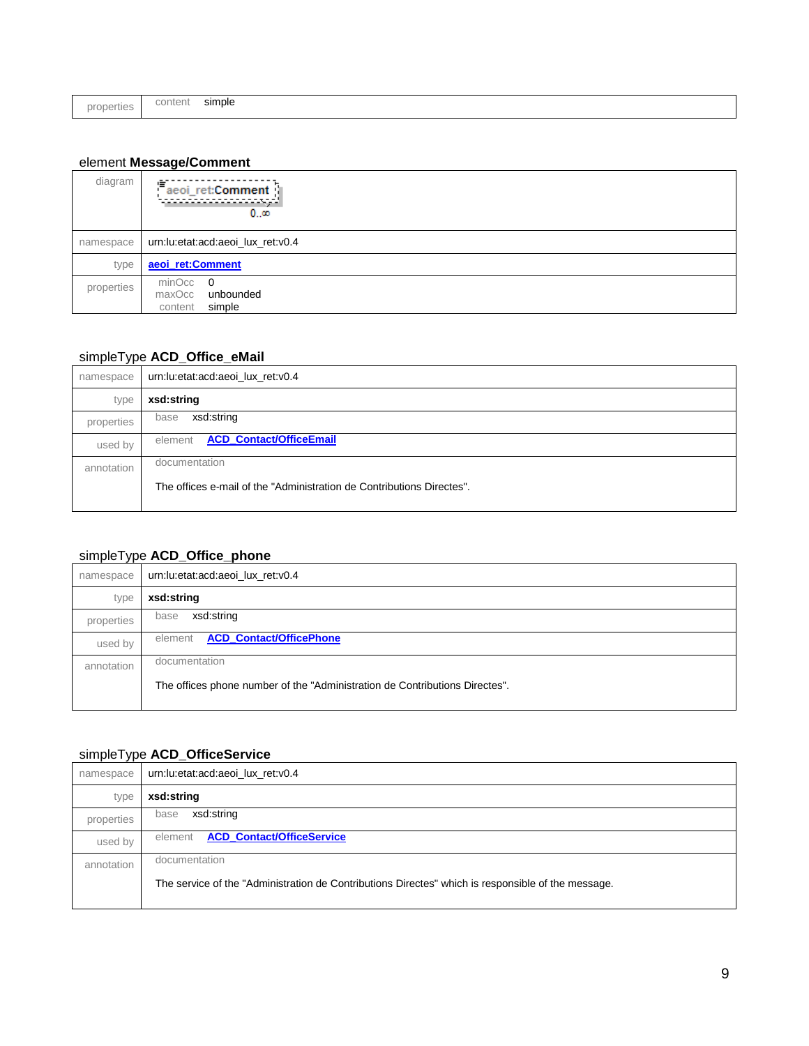|--|--|

### <span id="page-8-3"></span>element **Message/Comment**

| diagram    | 鴜<br>aeoi_ret:Comment  <br>.<br>0…∞                    |
|------------|--------------------------------------------------------|
| namespace  | urn:lu:etat:acd:aeoi_lux_ret:v0.4                      |
| type       | aeoi_ret:Comment                                       |
| properties | $minOcc$ 0<br>maxOcc<br>unbounded<br>simple<br>content |

### <span id="page-8-0"></span>simpleType **ACD\_Office\_eMail**

| namespace  | urn:lu:etat:acd:aeoi_lux_ret:v0.4                                     |
|------------|-----------------------------------------------------------------------|
| type       | xsd:string                                                            |
| properties | xsd:string<br>base                                                    |
| used by    | <b>ACD_Contact/OfficeEmail</b><br>element                             |
| annotation | documentation                                                         |
|            | The offices e-mail of the "Administration de Contributions Directes". |
|            |                                                                       |

# <span id="page-8-1"></span>simpleType **ACD\_Office\_phone**

| namespace  | urn:lu:etat:acd:aeoi_lux_ret:v0.4                                           |
|------------|-----------------------------------------------------------------------------|
| type       | xsd:string                                                                  |
| properties | xsd:string<br>base                                                          |
| used by    | <b>ACD_Contact/OfficePhone</b><br>element                                   |
| annotation | documentation                                                               |
|            | The offices phone number of the "Administration de Contributions Directes". |
|            |                                                                             |

### <span id="page-8-2"></span>simpleType **ACD\_OfficeService**

| namespace  | urn:lu:etat:acd:aeoi_lux_ret:v0.4                                                                  |
|------------|----------------------------------------------------------------------------------------------------|
| type       | xsd:string                                                                                         |
| properties | xsd:string<br>base                                                                                 |
| used by    | <b>ACD_Contact/OfficeService</b><br>element                                                        |
| annotation | documentation                                                                                      |
|            | The service of the "Administration de Contributions Directes" which is responsible of the message. |
|            |                                                                                                    |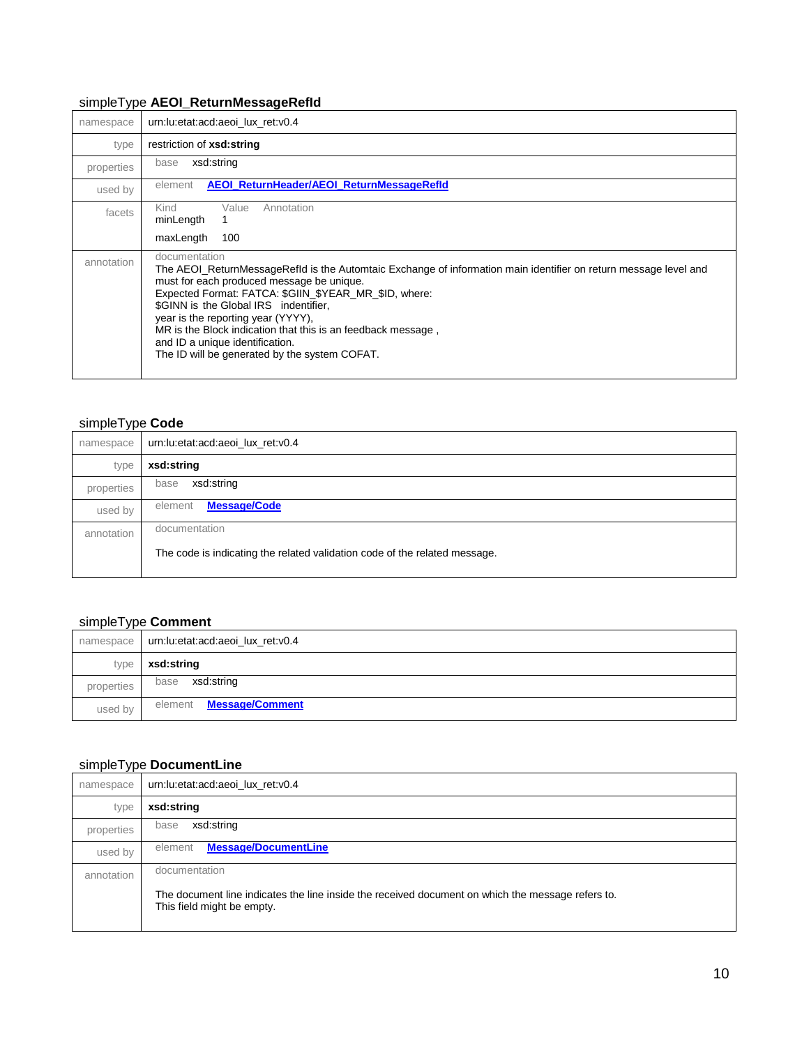### <span id="page-9-0"></span>simpleType **AEOI\_ReturnMessageRefId**

| namespace  | urn:lu:etat:acd:aeoi lux ret:v0.4                                                                                                                                                                                                                                                                                                                                                                                                                                          |
|------------|----------------------------------------------------------------------------------------------------------------------------------------------------------------------------------------------------------------------------------------------------------------------------------------------------------------------------------------------------------------------------------------------------------------------------------------------------------------------------|
| type       | restriction of <b>xsd:string</b>                                                                                                                                                                                                                                                                                                                                                                                                                                           |
| properties | xsd:string<br>base                                                                                                                                                                                                                                                                                                                                                                                                                                                         |
| used by    | AEOI_ReturnHeader/AEOI_ReturnMessageRefId<br>element                                                                                                                                                                                                                                                                                                                                                                                                                       |
| facets     | Annotation<br>Value<br>Kind<br>minLength                                                                                                                                                                                                                                                                                                                                                                                                                                   |
|            | maxLength<br>100                                                                                                                                                                                                                                                                                                                                                                                                                                                           |
| annotation | documentation<br>The AEOI_ReturnMessageRefld is the Automtaic Exchange of information main identifier on return message level and<br>must for each produced message be unique.<br>Expected Format: FATCA: \$GIIN_\$YEAR_MR_\$ID, where:<br>\$GINN is the Global IRS indentifier,<br>year is the reporting year (YYYY),<br>MR is the Block indication that this is an feedback message,<br>and ID a unique identification.<br>The ID will be generated by the system COFAT. |

### <span id="page-9-1"></span>simpleType **Code**

| namespace  | urn:lu:etat:acd:aeoi lux ret:v0.4                                          |
|------------|----------------------------------------------------------------------------|
| type       | xsd:string                                                                 |
| properties | xsd:string<br>base                                                         |
| used by    | <b>Message/Code</b><br>element                                             |
| annotation | documentation                                                              |
|            | The code is indicating the related validation code of the related message. |
|            |                                                                            |

### <span id="page-9-2"></span>simpleType **Comment**

| namespace  | urn:lu:etat:acd:aeoi_lux_ret:v0.4 |
|------------|-----------------------------------|
| type       | xsd:string                        |
| properties | xsd:string<br>base                |
| used by    | <b>Message/Comment</b><br>element |

# <span id="page-9-3"></span>simpleType **DocumentLine**

| namespace  | urn:lu:etat:acd:aeoi lux ret:v0.4                                                                                               |
|------------|---------------------------------------------------------------------------------------------------------------------------------|
| type       | xsd:string                                                                                                                      |
| properties | xsd:string<br>base                                                                                                              |
| used by    | <b>Message/DocumentLine</b><br>element                                                                                          |
| annotation | documentation                                                                                                                   |
|            | The document line indicates the line inside the received document on which the message refers to.<br>This field might be empty. |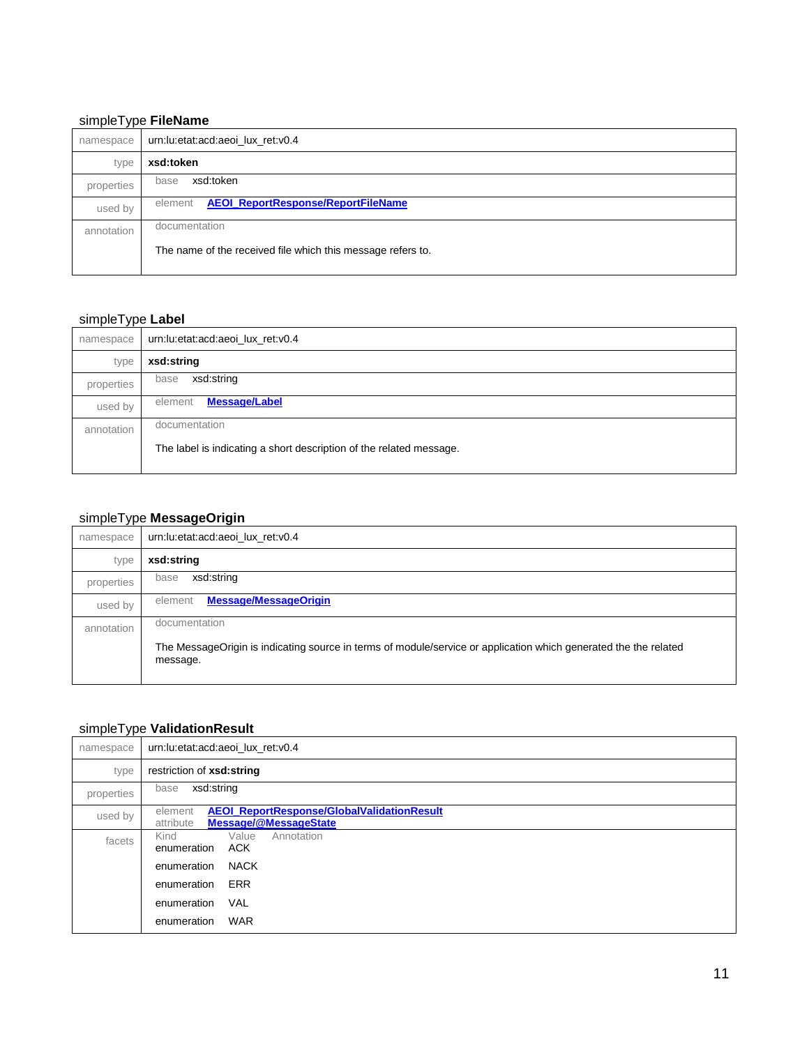### <span id="page-10-0"></span>simpleType **FileName**

| <b>J</b> I<br>namespace | urn:lu:etat:acd:aeoi lux ret:v0.4                           |
|-------------------------|-------------------------------------------------------------|
| type                    | xsd:token                                                   |
| properties              | xsd:token<br>base                                           |
| used by                 | <b>AEOI_ReportResponse/ReportFileName</b><br>element        |
| annotation              | documentation                                               |
|                         | The name of the received file which this message refers to. |
|                         |                                                             |

# <span id="page-10-1"></span>simpleType **Label**

| namespace  | urn:lu:etat:acd:aeoi_lux_ret:v0.4                                   |
|------------|---------------------------------------------------------------------|
| type       | xsd:string                                                          |
| properties | xsd:string<br>base                                                  |
| used by    | Message/Label<br>element                                            |
| annotation | documentation                                                       |
|            | The label is indicating a short description of the related message. |
|            |                                                                     |

### <span id="page-10-2"></span>simpleType **MessageOrigin**

| . .<br>namespace | urn:lu:etat:acd:aeoi lux ret:v0.4                                                                                            |
|------------------|------------------------------------------------------------------------------------------------------------------------------|
| type             | xsd:string                                                                                                                   |
| properties       | xsd:string<br>base                                                                                                           |
| used by          | <b>Message/MessageOrigin</b><br>element                                                                                      |
| annotation       | documentation                                                                                                                |
|                  | The MessageOrigin is indicating source in terms of module/service or application which generated the the related<br>message. |

# <span id="page-10-3"></span>simpleType **ValidationResult**

| namespace  | urn:lu:etat:acd:aeoi lux ret:v0.4                                                           |
|------------|---------------------------------------------------------------------------------------------|
| type       | restriction of xsd:string                                                                   |
| properties | xsd:string<br>base                                                                          |
| used by    | AEOI_ReportResponse/GlobalValidationResult<br>element<br>Message/@MessageState<br>attribute |
| facets     | Value<br>Annotation<br>Kind<br>enumeration<br>ACK                                           |
|            | <b>NACK</b><br>enumeration                                                                  |
|            | ERR<br>enumeration                                                                          |
|            | VAL<br>enumeration                                                                          |
|            | <b>WAR</b><br>enumeration                                                                   |